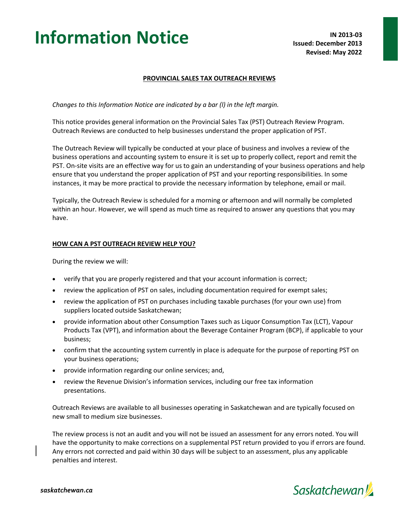# **Information Notice IN 2013-03**

#### **PROVINCIAL SALES TAX OUTREACH REVIEWS**

*Changes to this Information Notice are indicated by a bar (l) in the left margin.*

This notice provides general information on the Provincial Sales Tax (PST) Outreach Review Program. Outreach Reviews are conducted to help businesses understand the proper application of PST.

The Outreach Review will typically be conducted at your place of business and involves a review of the business operations and accounting system to ensure it is set up to properly collect, report and remit the PST. On-site visits are an effective way for us to gain an understanding of your business operations and help ensure that you understand the proper application of PST and your reporting responsibilities. In some instances, it may be more practical to provide the necessary information by telephone, email or mail.

Typically, the Outreach Review is scheduled for a morning or afternoon and will normally be completed within an hour. However, we will spend as much time as required to answer any questions that you may have.

#### **HOW CAN A PST OUTREACH REVIEW HELP YOU?**

During the review we will:

- verify that you are properly registered and that your account information is correct;
- review the application of PST on sales, including documentation required for exempt sales;
- review the application of PST on purchases including taxable purchases (for your own use) from suppliers located outside Saskatchewan;
- provide information about other Consumption Taxes such as Liquor Consumption Tax (LCT), Vapour Products Tax (VPT), and information about the Beverage Container Program (BCP), if applicable to your business;
- confirm that the accounting system currently in place is adequate for the purpose of reporting PST on your business operations;
- provide information regarding our online services; and,
- review the Revenue Division's information services, including our free tax information presentations.

Outreach Reviews are available to all businesses operating in Saskatchewan and are typically focused on new small to medium size businesses.

The review process is not an audit and you will not be issued an assessment for any errors noted. You will have the opportunity to make corrections on a supplemental PST return provided to you if errors are found. Any errors not corrected and paid within 30 days will be subject to an assessment, plus any applicable penalties and interest.



### **Saskatchewan**